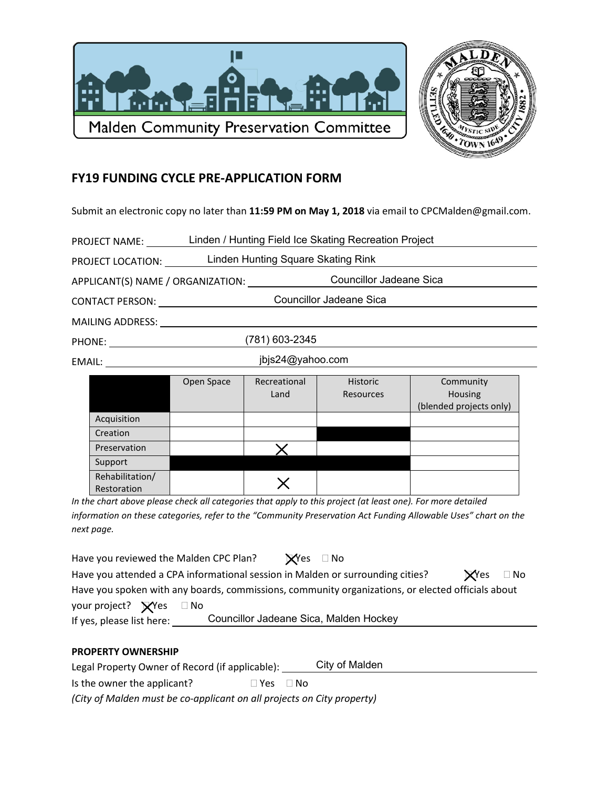



## **FY19 FUNDING CYCLE PRE-APPLICATION FORM**

Submit an electronic copy no later than 11:59 PM on May 1, 2018 via email to CPCMalden@gmail.com.

| <b>PROJECT NAME:</b>    | Linden / Hunting Field Ice Skating Recreation Project               |              |                 |                                           |  |  |
|-------------------------|---------------------------------------------------------------------|--------------|-----------------|-------------------------------------------|--|--|
| PROJECT LOCATION:       | Linden Hunting Square Skating Rink                                  |              |                 |                                           |  |  |
|                         | <b>Councillor Jadeane Sica</b><br>APPLICANT(S) NAME / ORGANIZATION: |              |                 |                                           |  |  |
| <b>CONTACT PERSON:</b>  | Councillor Jadeane Sica                                             |              |                 |                                           |  |  |
| <b>MAILING ADDRESS:</b> |                                                                     |              |                 |                                           |  |  |
| PHONE: _______________  | (781) 603-2345                                                      |              |                 |                                           |  |  |
| jbjs24@yahoo.com        |                                                                     |              |                 |                                           |  |  |
|                         | Open Space                                                          | Recreational | <b>Historic</b> | Community                                 |  |  |
|                         |                                                                     | Land         | Resources       | <b>Housing</b><br>(blended projects only) |  |  |

|                  |                                                |                                                                                                                                                                                                                                   | $\sim$<br>(blended projects only) |
|------------------|------------------------------------------------|-----------------------------------------------------------------------------------------------------------------------------------------------------------------------------------------------------------------------------------|-----------------------------------|
| Acquisition      |                                                |                                                                                                                                                                                                                                   |                                   |
| Creation         |                                                |                                                                                                                                                                                                                                   |                                   |
| Preservation     |                                                |                                                                                                                                                                                                                                   |                                   |
| Support          |                                                |                                                                                                                                                                                                                                   |                                   |
| Rehabilitation/  |                                                |                                                                                                                                                                                                                                   |                                   |
| Restoration<br>. | $\mathbf{r}$ and $\mathbf{r}$ and $\mathbf{r}$ | $\mathbf{a}$ , and a second contract the contract of the contract of the contract of the contract of the contract of the contract of the contract of the contract of the contract of the contract of the contract of the contract | .<br>$\cdot$ $-$                  |

In the chart above please check all categories that apply to this project (at least one). For more detailed information on these categories, refer to the "Community Preservation Act Funding Allowable Uses" chart on the next page.

| Have you reviewed the Malden CPC Plan?                                                            |                                        | $\mathbf{X}$ Yes $\Box$ No |  |                            |  |
|---------------------------------------------------------------------------------------------------|----------------------------------------|----------------------------|--|----------------------------|--|
| Have you attended a CPA informational session in Malden or surrounding cities?                    |                                        |                            |  | $\mathbf{X}$ Yes $\Box$ No |  |
| Have you spoken with any boards, commissions, community organizations, or elected officials about |                                        |                            |  |                            |  |
| your project? $\bigtimes$ Yes $\Box$ No                                                           |                                        |                            |  |                            |  |
| If yes, please list here:                                                                         | Councillor Jadeane Sica, Malden Hockey |                            |  |                            |  |

## **PROPERTY OWNERSHIP**

City of Malden Legal Property Owner of Record (if applicable): \_\_\_\_\_

Is the owner the applicant?  $\Box$  Yes  $\Box$  No

(City of Malden must be co-applicant on all projects on City property)